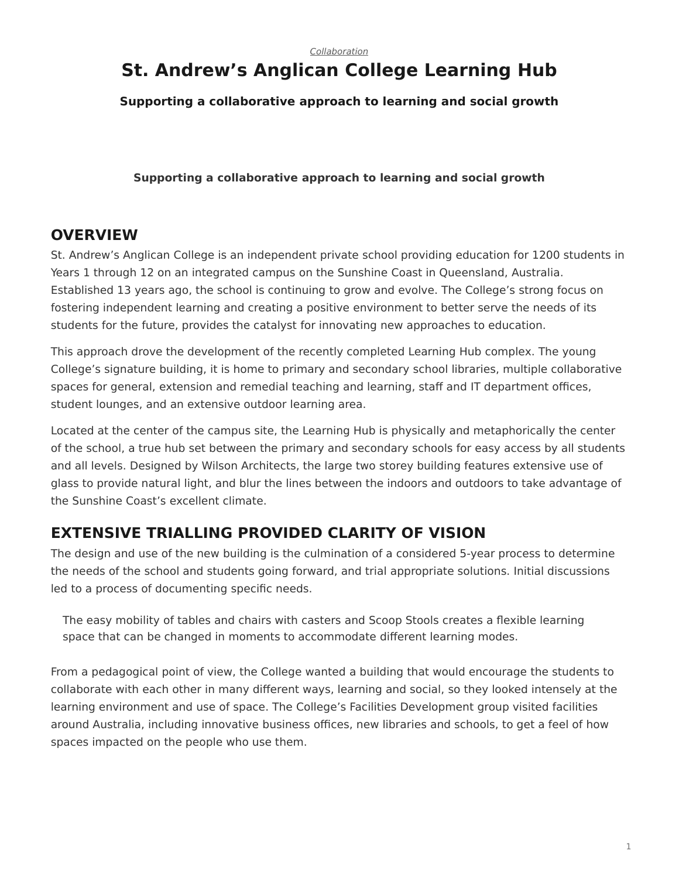# <span id="page-0-0"></span>**St. Andrew's Anglican College Learning Hub**

**Supporting a collaborative approach to learning and social growth**

#### **Supporting a collaborative approach to learning and social growth**

### **OVERVIEW**

St. Andrew's Anglican College is an independent private school providing education for 1200 students in Years 1 through 12 on an integrated campus on the Sunshine Coast in Queensland, Australia. Established 13 years ago, the school is continuing to grow and evolve. The College's strong focus on fostering independent learning and creating a positive environment to better serve the needs of its students for the future, provides the catalyst for innovating new approaches to education.

This approach drove the development of the recently completed Learning Hub complex. The young College's signature building, it is home to primary and secondary school libraries, multiple collaborative spaces for general, extension and remedial teaching and learning, staff and IT department offices, student lounges, and an extensive outdoor learning area.

Located at the center of the campus site, the Learning Hub is physically and metaphorically the center of the school, a true hub set between the primary and secondary schools for easy access by all students and all levels. Designed by Wilson Architects, the large two storey building features extensive use of glass to provide natural light, and blur the lines between the indoors and outdoors to take advantage of the Sunshine Coast's excellent climate.

## **EXTENSIVE TRIALLING PROVIDED CLARITY OF VISION**

The design and use of the new building is the culmination of a considered 5-year process to determine the needs of the school and students going forward, and trial appropriate solutions. Initial discussions led to a process of documenting specific needs.

The easy mobility of tables and chairs with casters and Scoop Stools creates a flexible learning space that can be changed in moments to accommodate different learning modes.

From a pedagogical point of view, the College wanted a building that would encourage the students to collaborate with each other in many different ways, learning and social, so they looked intensely at the learning environment and use of space. The College's Facilities Development group visited facilities around Australia, including innovative business offices, new libraries and schools, to get a feel of how spaces impacted on the people who use them.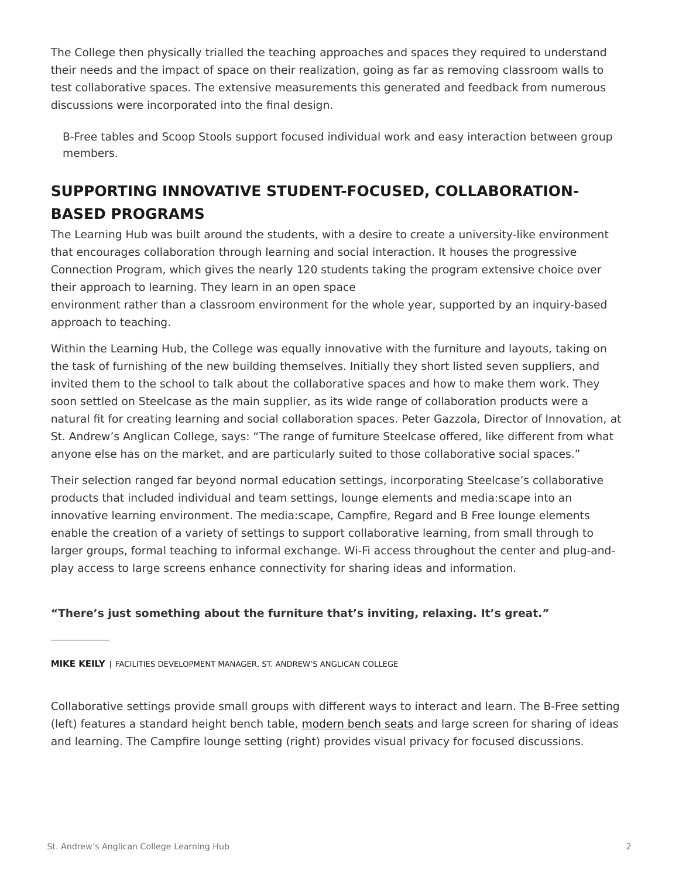The College then physically trialled the teaching approaches and spaces they required to understand their needs and the impact of space on their realization, going as far as removing classroom walls to test collaborative spaces. The extensive measurements this generated and feedback from numerous discussions were incorporated into the final design.

B-Free tables and Scoop Stools support focused individual work and easy interaction between group members.

## **SUPPORTING INNOVATIVE STUDENT-FOCUSED, COLLABORATION-BASED PROGRAMS**

The Learning Hub was built around the students, with a desire to create a university-like environment that encourages collaboration through learning and social interaction. It houses the progressive Connection Program, which gives the nearly 120 students taking the program extensive choice over their approach to learning. They learn in an open space

environment rather than a classroom environment for the whole year, supported by an inquiry-based approach to teaching.

Within the Learning Hub, the College was equally innovative with the furniture and layouts, taking on the task of furnishing of the new building themselves. Initially they short listed seven suppliers, and invited them to the school to talk about the collaborative spaces and how to make them work. They soon settled on Steelcase as the main supplier, as its wide range of collaboration products were a natural fit for creating learning and social collaboration spaces. Peter Gazzola, Director of Innovation, at St. Andrew's Anglican College, says: "The range of furniture Steelcase offered, like different from what anyone else has on the market, and are particularly suited to those collaborative social spaces."

Their selection ranged far beyond normal education settings, incorporating Steelcase's collaborative products that included individual and team settings, lounge elements and media:scape into an innovative learning environment. The media:scape, Campfire, Regard and B Free lounge elements enable the creation of a variety of settings to support collaborative learning, from small through to larger groups, formal teaching to informal exchange. Wi-Fi access throughout the center and plug-andplay access to large screens enhance connectivity for sharing ideas and information.

#### **"There's just something about the furniture that's inviting, relaxing. It's great."**

**MIKE KEILY** | FACILITIES DEVELOPMENT MANAGER, ST. ANDREW'S ANGLICAN COLLEGE

Collaborative settings provide small groups with different ways to interact and learn. The B-Free setting (left) features a standard height bench table, [modern bench seats](https://www.steelcase.com/products/benches-ottomans/) and large screen for sharing of ideas and learning. The Campfire lounge setting (right) provides visual privacy for focused discussions.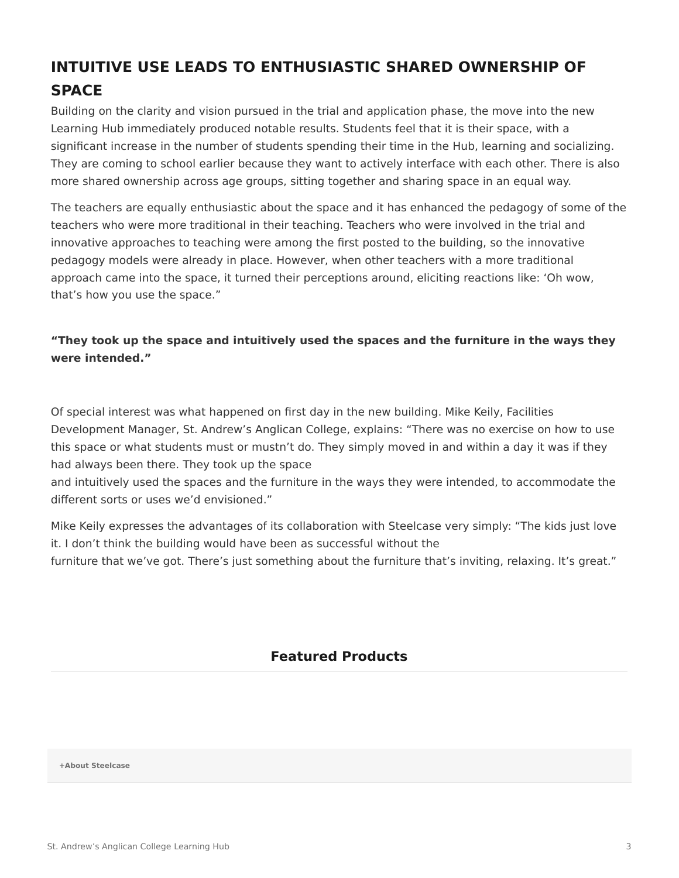## **INTUITIVE USE LEADS TO ENTHUSIASTIC SHARED OWNERSHIP OF SPACE**

Building on the clarity and vision pursued in the trial and application phase, the move into the new Learning Hub immediately produced notable results. Students feel that it is their space, with a significant increase in the number of students spending their time in the Hub, learning and socializing. They are coming to school earlier because they want to actively interface with each other. There is also more shared ownership across age groups, sitting together and sharing space in an equal way.

The teachers are equally enthusiastic about the space and it has enhanced the pedagogy of some of the teachers who were more traditional in their teaching. Teachers who were involved in the trial and innovative approaches to teaching were among the first posted to the building, so the innovative pedagogy models were already in place. However, when other teachers with a more traditional approach came into the space, it turned their perceptions around, eliciting reactions like: 'Oh wow, that's how you use the space."

### **"They took up the space and intuitively used the spaces and the furniture in the ways they were intended."**

Of special interest was what happened on first day in the new building. Mike Keily, Facilities Development Manager, St. Andrew's Anglican College, explains: "There was no exercise on how to use this space or what students must or mustn't do. They simply moved in and within a day it was if they had always been there. They took up the space

and intuitively used the spaces and the furniture in the ways they were intended, to accommodate the different sorts or uses we'd envisioned."

Mike Keily expresses the advantages of its collaboration with Steelcase very simply: "The kids just love it. I don't think the building would have been as successful without the

furniture that we've got. There's just something about the furniture that's inviting, relaxing. It's great."

### **Featured Products**

**[+About Steelcase](https://www.steelcase.com/discover/steelcase/our-company/)**